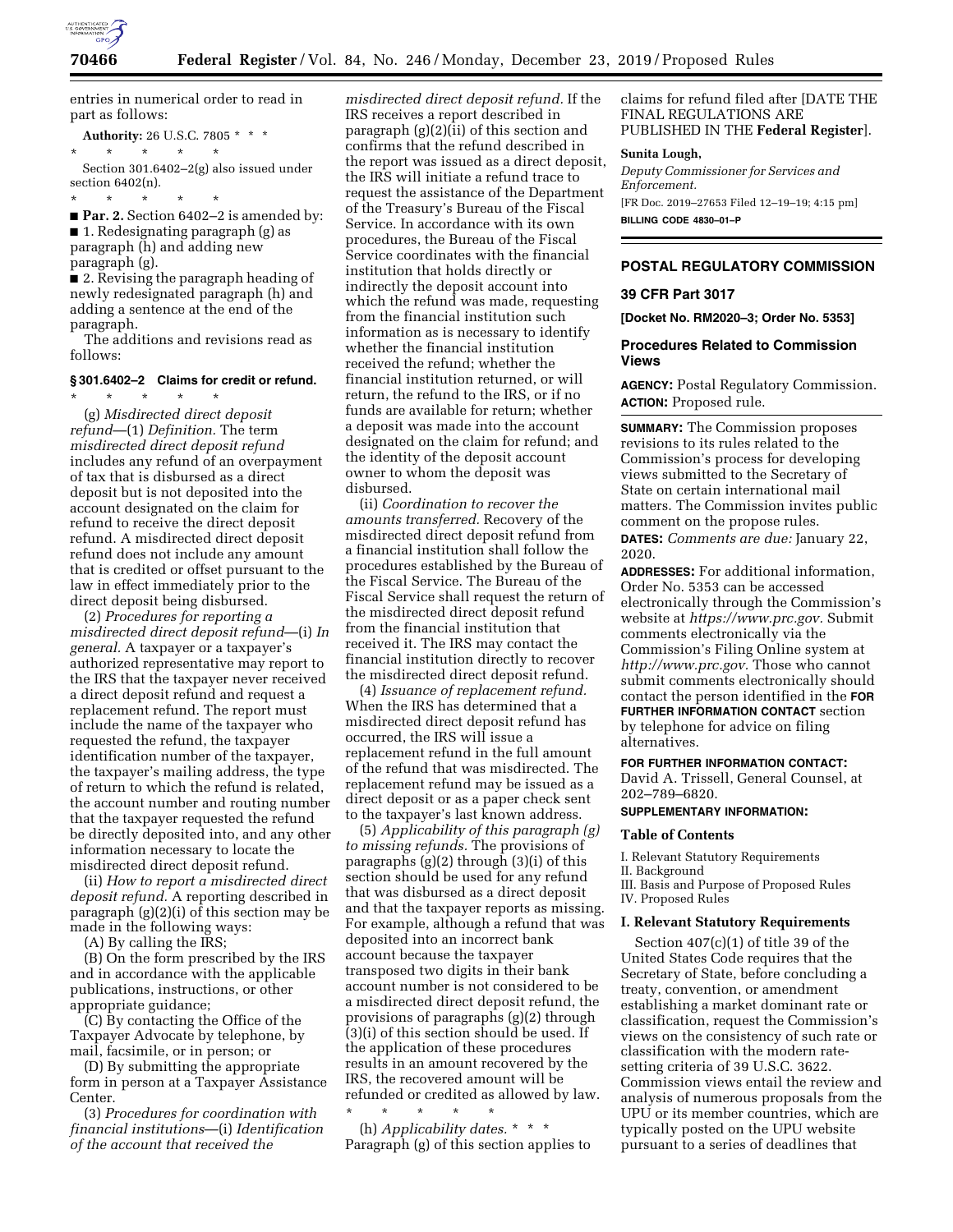

entries in numerical order to read in part as follows:

**Authority:** 26 U.S.C. 7805 \* \* \* \* \* \* \* \* Section 301.6402–2(g) also issued under

section 6402(n). \* \* \* \* \*

■ **Par. 2.** Section 6402–2 is amended by: ■ 1. Redesignating paragraph (g) as paragraph (h) and adding new paragraph (g).

■ 2. Revising the paragraph heading of newly redesignated paragraph (h) and adding a sentence at the end of the paragraph.

The additions and revisions read as follows:

#### **§ 301.6402–2 Claims for credit or refund.**

\* \* \* \* \*

(g) *Misdirected direct deposit refund*—(1) *Definition.* The term *misdirected direct deposit refund*  includes any refund of an overpayment of tax that is disbursed as a direct deposit but is not deposited into the account designated on the claim for refund to receive the direct deposit refund. A misdirected direct deposit refund does not include any amount that is credited or offset pursuant to the law in effect immediately prior to the direct deposit being disbursed.

(2) *Procedures for reporting a misdirected direct deposit refund*—(i) *In general.* A taxpayer or a taxpayer's authorized representative may report to the IRS that the taxpayer never received a direct deposit refund and request a replacement refund. The report must include the name of the taxpayer who requested the refund, the taxpayer identification number of the taxpayer, the taxpayer's mailing address, the type of return to which the refund is related, the account number and routing number that the taxpayer requested the refund be directly deposited into, and any other information necessary to locate the misdirected direct deposit refund.

(ii) *How to report a misdirected direct deposit refund.* A reporting described in paragraph (g)(2)(i) of this section may be made in the following ways:

(A) By calling the IRS;

(B) On the form prescribed by the IRS and in accordance with the applicable publications, instructions, or other appropriate guidance;

(C) By contacting the Office of the Taxpayer Advocate by telephone, by mail, facsimile, or in person; or

(D) By submitting the appropriate form in person at a Taxpayer Assistance Center.

(3) *Procedures for coordination with financial institutions*—(i) *Identification of the account that received the* 

*misdirected direct deposit refund.* If the IRS receives a report described in paragraph (g)(2)(ii) of this section and confirms that the refund described in the report was issued as a direct deposit, the IRS will initiate a refund trace to request the assistance of the Department of the Treasury's Bureau of the Fiscal Service. In accordance with its own procedures, the Bureau of the Fiscal Service coordinates with the financial institution that holds directly or indirectly the deposit account into which the refund was made, requesting from the financial institution such information as is necessary to identify whether the financial institution received the refund; whether the financial institution returned, or will return, the refund to the IRS, or if no funds are available for return; whether a deposit was made into the account designated on the claim for refund; and the identity of the deposit account owner to whom the deposit was disbursed.

(ii) *Coordination to recover the amounts transferred.* Recovery of the misdirected direct deposit refund from a financial institution shall follow the procedures established by the Bureau of the Fiscal Service. The Bureau of the Fiscal Service shall request the return of the misdirected direct deposit refund from the financial institution that received it. The IRS may contact the financial institution directly to recover the misdirected direct deposit refund.

(4) *Issuance of replacement refund.*  When the IRS has determined that a misdirected direct deposit refund has occurred, the IRS will issue a replacement refund in the full amount of the refund that was misdirected. The replacement refund may be issued as a direct deposit or as a paper check sent to the taxpayer's last known address.

(5) *Applicability of this paragraph (g) to missing refunds.* The provisions of paragraphs (g)(2) through (3)(i) of this section should be used for any refund that was disbursed as a direct deposit and that the taxpayer reports as missing. For example, although a refund that was deposited into an incorrect bank account because the taxpayer transposed two digits in their bank account number is not considered to be a misdirected direct deposit refund, the provisions of paragraphs (g)(2) through (3)(i) of this section should be used. If the application of these procedures results in an amount recovered by the IRS, the recovered amount will be refunded or credited as allowed by law.

\* \* \* \* \* (h) *Applicability dates.* \* \* \* Paragraph (g) of this section applies to claims for refund filed after [DATE THE FINAL REGULATIONS ARE PUBLISHED IN THE **Federal Register**].

#### **Sunita Lough,**

*Deputy Commissioner for Services and Enforcement.*  [FR Doc. 2019–27653 Filed 12–19–19; 4:15 pm]

**BILLING CODE 4830–01–P** 

## **POSTAL REGULATORY COMMISSION**

#### **39 CFR Part 3017**

**[Docket No. RM2020–3; Order No. 5353]** 

## **Procedures Related to Commission Views**

**AGENCY:** Postal Regulatory Commission. **ACTION:** Proposed rule.

**SUMMARY:** The Commission proposes revisions to its rules related to the Commission's process for developing views submitted to the Secretary of State on certain international mail matters. The Commission invites public comment on the propose rules. **DATES:** *Comments are due:* January 22, 2020.

**ADDRESSES:** For additional information, Order No. 5353 can be accessed electronically through the Commission's website at *[https://www.prc.gov.](https://www.prc.gov)* Submit comments electronically via the Commission's Filing Online system at *[http://www.prc.gov.](http://www.prc.gov)* Those who cannot submit comments electronically should contact the person identified in the **FOR FURTHER INFORMATION CONTACT** section by telephone for advice on filing alternatives.

### **FOR FURTHER INFORMATION CONTACT:**

David A. Trissell, General Counsel, at 202–789–6820.

### **SUPPLEMENTARY INFORMATION:**

#### **Table of Contents**

I. Relevant Statutory Requirements

II. Background

III. Basis and Purpose of Proposed Rules IV. Proposed Rules

### **I. Relevant Statutory Requirements**

Section 407(c)(1) of title 39 of the United States Code requires that the Secretary of State, before concluding a treaty, convention, or amendment establishing a market dominant rate or classification, request the Commission's views on the consistency of such rate or classification with the modern ratesetting criteria of 39 U.S.C. 3622. Commission views entail the review and analysis of numerous proposals from the UPU or its member countries, which are typically posted on the UPU website pursuant to a series of deadlines that